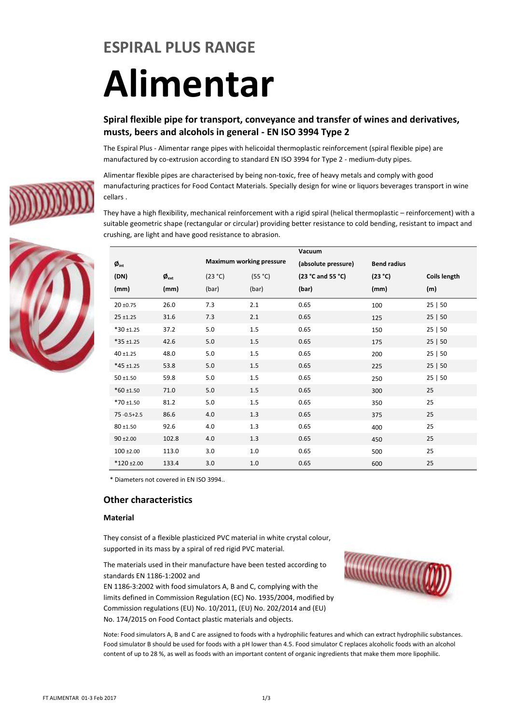### **ESPIRAL PLUS RANGE**

# **Alimentar**

#### **Spiral flexible pipe for transport, conveyance and transfer of wines and derivatives, musts, beers and alcohols in general - EN ISO 3994 Type 2**

The Espiral Plus - Alimentar range pipes with helicoidal thermoplastic reinforcement (spiral flexible pipe) are manufactured by co-extrusion according to standard EN ISO 3994 for Type 2 - medium-duty pipes.

Alimentar flexible pipes are characterised by being non-toxic, free of heavy metals and comply with good manufacturing practices for Food Contact Materials. Specially design for wine or liquors beverages transport in wine cellars .

They have a high flexibility, mechanical reinforcement with a rigid spiral (helical thermoplastic – reinforcement) with a suitable geometric shape (rectangular or circular) providing better resistance to cold bending, resistant to impact and crushing, are light and have good resistance to abrasion.

|                                         |                                    |         |                                 | Vacuum              |                    |                     |
|-----------------------------------------|------------------------------------|---------|---------------------------------|---------------------|--------------------|---------------------|
| $\boldsymbol{\emptyset}_{\mathsf{int}}$ |                                    |         | <b>Maximum working pressure</b> | (absolute pressure) | <b>Bend radius</b> |                     |
| (DN)                                    | $\boldsymbol{\emptyset}_{\rm ext}$ | (23 °C) | (55 °C)                         | (23 °C and 55 °C)   | (23 °C)            | <b>Coils length</b> |
| (mm)                                    | (mm)                               | (bar)   | (bar)                           | (bar)               | (mm)               | (m)                 |
| $20 \pm 0.75$                           | 26.0                               | 7.3     | 2.1                             | 0.65                | 100                | 25 50               |
| $25 + 1.25$                             | 31.6                               | 7.3     | 2.1                             | 0.65                | 125                | 25 50               |
| $*30 + 1.25$                            | 37.2                               | 5.0     | 1.5                             | 0.65                | 150                | 25 50               |
| $*35 + 1.25$                            | 42.6                               | 5.0     | 1.5                             | 0.65                | 175                | 25 50               |
| $40 + 1.25$                             | 48.0                               | 5.0     | 1.5                             | 0.65                | 200                | 25 50               |
| $*45 + 1.25$                            | 53.8                               | 5.0     | 1.5                             | 0.65                | 225                | 25 50               |
| $50 + 1.50$                             | 59.8                               | 5.0     | 1.5                             | 0.65                | 250                | 25 50               |
| $*60 \pm 1.50$                          | 71.0                               | 5.0     | 1.5                             | 0.65                | 300                | 25                  |
| $*70 \pm 1.50$                          | 81.2                               | 5.0     | 1.5                             | 0.65                | 350                | 25                  |
| $75 - 0.5 + 2.5$                        | 86.6                               | 4.0     | 1.3                             | 0.65                | 375                | 25                  |
| 80 ±1.50                                | 92.6                               | 4.0     | 1.3                             | 0.65                | 400                | 25                  |
| $90 + 2.00$                             | 102.8                              | 4.0     | 1.3                             | 0.65                | 450                | 25                  |
| $100 \pm 2.00$                          | 113.0                              | 3.0     | 1.0                             | 0.65                | 500                | 25                  |
| $*120 \pm 2.00$                         | 133.4                              | 3.0     | 1.0                             | 0.65                | 600                | 25                  |

\* Diameters not covered in EN ISO 3994..

#### **Other characteristics**

#### **Material**

They consist of a flexible plasticized PVC material in white crystal colour, supported in its mass by a spiral of red rigid PVC material.

The materials used in their manufacture have been tested according to standards EN 1186-1:2002 and

EN 1186-3:2002 with food simulators A, B and C, complying with the limits defined in Commission Regulation (EC) No. 1935/2004, modified by Commission regulations (EU) No. 10/2011, (EU) No. 202/2014 and (EU) No. 174/2015 on Food Contact plastic materials and objects.



Note: Food simulators A, B and C are assigned to foods with a hydrophilic features and which can extract hydrophilic substances. Food simulator B should be used for foods with a pH lower than 4.5. Food simulator C replaces alcoholic foods with an alcohol content of up to 28 %, as well as foods with an important content of organic ingredients that make them more lipophilic.



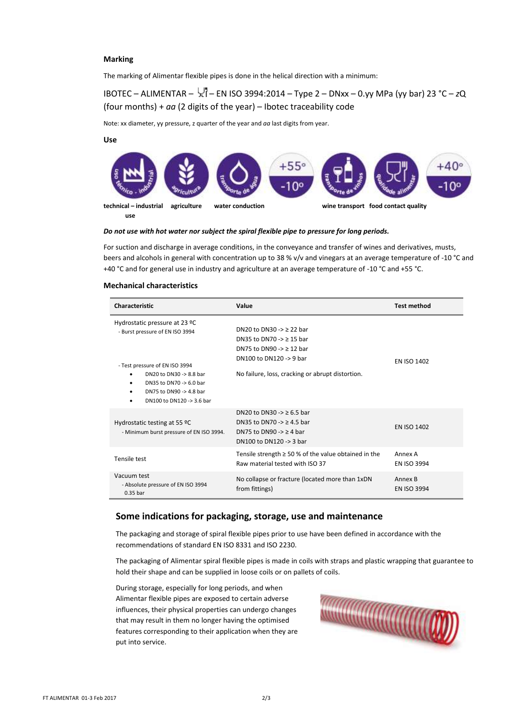#### **Marking**

The marking of Alimentar flexible pipes is done in the helical direction with a minimum:

IBOTEC – ALIMENTAR – – EN ISO 3994:2014 – Type 2 – DNxx – 0.yy MPa (yy bar) 23 °C – *z*Q (four months) + *aa* (2 digits of the year) – Ibotec traceability code

Note: xx diameter, yy pressure, z quarter of the year and *aa* last digits from year.

#### **Use**



#### *Do not use with hot water nor subject the spiral flexible pipe to pressure for long periods.*

For suction and discharge in average conditions, in the conveyance and transfer of wines and derivatives, musts, beers and alcohols in general with concentration up to 38 % v/v and vinegars at an average temperature of -10 °C and +40 °C and for general use in industry and agriculture at an average temperature of -10 °C and +55 °C.

#### **Mechanical characteristics**

| Characteristic                                                                                                                                                                                                   | Value                                                                                                                                                                          | <b>Test method</b>            |
|------------------------------------------------------------------------------------------------------------------------------------------------------------------------------------------------------------------|--------------------------------------------------------------------------------------------------------------------------------------------------------------------------------|-------------------------------|
| Hydrostatic pressure at 23 °C<br>- Burst pressure of EN ISO 3994<br>- Test pressure of EN ISO 3994<br>DN20 to DN30 -> 8.8 bar<br>DN35 to DN70 -> 6.0 bar<br>DN75 to DN90 -> 4.8 bar<br>DN100 to DN120 -> 3.6 bar | DN20 to DN30 -> $\geq$ 22 bar<br>DN35 to DN70 -> $\geq$ 15 bar<br>DN75 to DN90 -> $\geq$ 12 bar<br>DN100 to DN120 -> 9 bar<br>No failure, loss, cracking or abrupt distortion. | <b>EN ISO 1402</b>            |
| Hydrostatic testing at 55 °C<br>- Minimum burst pressure of EN ISO 3994.                                                                                                                                         | DN20 to DN30 -> $\geq 6.5$ bar<br>DN35 to DN70 -> $\geq$ 4.5 bar<br>DN75 to DN90 -> $\geq$ 4 bar<br>DN100 to DN120 -> 3 bar                                                    | <b>EN ISO 1402</b>            |
| Tensile test                                                                                                                                                                                                     | Tensile strength $\geq$ 50 % of the value obtained in the<br>Raw material tested with ISO 37                                                                                   | Annex A<br><b>EN ISO 3994</b> |
| Vacuum test<br>- Absolute pressure of EN ISO 3994<br>$0.35$ bar                                                                                                                                                  | No collapse or fracture (located more than 1xDN<br>from fittings)                                                                                                              | Annex B<br><b>EN ISO 3994</b> |

#### **Some indications for packaging, storage, use and maintenance**

The packaging and storage of spiral flexible pipes prior to use have been defined in accordance with the recommendations of standard EN ISO 8331 and ISO 2230.

The packaging of Alimentar spiral flexible pipes is made in coils with straps and plastic wrapping that guarantee to hold their shape and can be supplied in loose coils or on pallets of coils.

During storage, especially for long periods, and when Alimentar flexible pipes are exposed to certain adverse influences, their physical properties can undergo changes that may result in them no longer having the optimised features corresponding to their application when they are put into service.